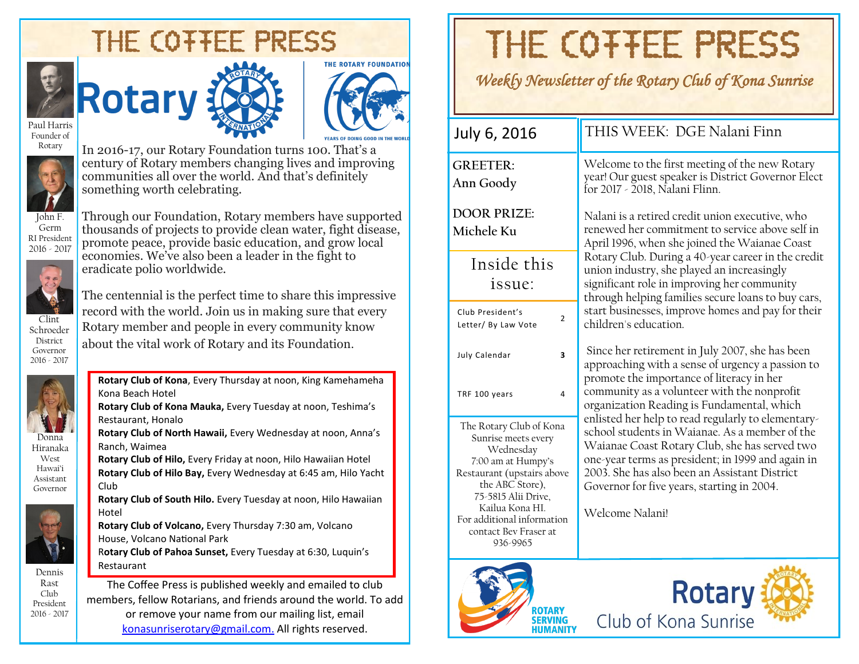# THE COTTEE PRESS





Paul Harris Founder of Rotary



In 2016-17, our Rotary Foundation turns 100. That's a century of Rotary members changing lives and improving communities all over the world. And that's definitely something worth celebrating.

Through our Foundation, Rotary members have supported thousands of projects to provide clean water, fight disease, promote peace, provide basic education, and grow local economies. We've also been a leader in the fight to

John F. Germ RI President 2016 - 2017



Schroeder District Governor 2016 - 2017

eradicate polio worldwide. The centennial is the perfect time to share this impressive record with the world. Join us in making sure that every Rotary member and people in every community know

**Rotary Club of Kona**, Every Thursday at noon, King Kamehameha

about the vital work of Rotary and its Foundation.



Hiranaka West Hawai'i Assistant



Governor

Dennis Rast Club President 2016 - 2017

Kona Beach Hotel **Rotary Club of Kona Mauka,** Every Tuesday at noon, Teshima's Restaurant, Honalo **Rotary Club of North Hawaii,** Every Wednesday at noon, Anna's Ranch, Waimea **Rotary Club of Hilo,** Every Friday at noon, Hilo Hawaiian Hotel **Rotary Club of Hilo Bay,** Every Wednesday at 6:45 am, Hilo Yacht Club **Rotary Club of South Hilo.** Every Tuesday at noon, Hilo Hawaiian Hotel **Rotary Club of Volcano,** Every Thursday 7:30 am, Volcano House, Volcano National Park R**otary Club of Pahoa Sunset,** Every Tuesday at 6:30, Luquin's Restaurant The Coffee Press is published weekly and emailed to club members, fellow Rotarians, and friends around the world. To add

or remove your name from our mailing list, email [konasunriserotary@gmail.com.](mailto:konasunriserotary@gmail.com.) All rights reserved.

# THE COTTEE PRESS

### *Weekly Newsletter of the Rotary Club of Kona Sunrise*

| July 6, 2016                                                                                                                                                                                                                        | THIS WEEK: DGE Nalani Finn                                                                                                                                                                                                                                                                                                   |  |  |  |  |
|-------------------------------------------------------------------------------------------------------------------------------------------------------------------------------------------------------------------------------------|------------------------------------------------------------------------------------------------------------------------------------------------------------------------------------------------------------------------------------------------------------------------------------------------------------------------------|--|--|--|--|
| <b>GREETER:</b><br>Ann Goody                                                                                                                                                                                                        | Welcome to the first meeting of the new Rotary<br>year! Our guest speaker is District Governor Elect<br>for 2017 - 2018, Nalani Flinn.                                                                                                                                                                                       |  |  |  |  |
| <b>DOOR PRIZE:</b><br>Michele Ku                                                                                                                                                                                                    | Nalani is a retired credit union executive, who<br>renewed her commitment to service above self in<br>April 1996, when she joined the Waianae Coast                                                                                                                                                                          |  |  |  |  |
| Inside this<br>issue:                                                                                                                                                                                                               | Rotary Club. During a 40-year career in the credit<br>union industry, she played an increasingly<br>significant role in improving her community<br>through helping families secure loans to buy cars,                                                                                                                        |  |  |  |  |
| Club President's<br>$\overline{2}$<br>Letter/ By Law Vote                                                                                                                                                                           | start businesses, improve homes and pay for their<br>children's education.                                                                                                                                                                                                                                                   |  |  |  |  |
| $\overline{\mathbf{3}}$<br>July Calendar                                                                                                                                                                                            | Since her retirement in July 2007, she has been<br>approaching with a sense of urgency a passion to<br>promote the importance of literacy in her                                                                                                                                                                             |  |  |  |  |
| 4<br>TRF 100 years                                                                                                                                                                                                                  | community as a volunteer with the nonprofit<br>organization Reading is Fundamental, which                                                                                                                                                                                                                                    |  |  |  |  |
| The Rotary Club of Kona<br>Sunrise meets every<br>Wednesday<br>7:00 am at Humpy's<br>Restaurant (upstairs above<br>the ABC Store),<br>75-5815 Alii Drive,<br>Kailua Kona HI.<br>For additional information<br>contact Bev Fraser at | enlisted her help to read regularly to elementary-<br>school students in Waianae. As a member of the<br>Waianae Coast Rotary Club, she has served two<br>one-year terms as president; in 1999 and again in<br>2003. She has also been an Assistant District<br>Governor for five years, starting in 2004.<br>Welcome Nalani! |  |  |  |  |



936-9965